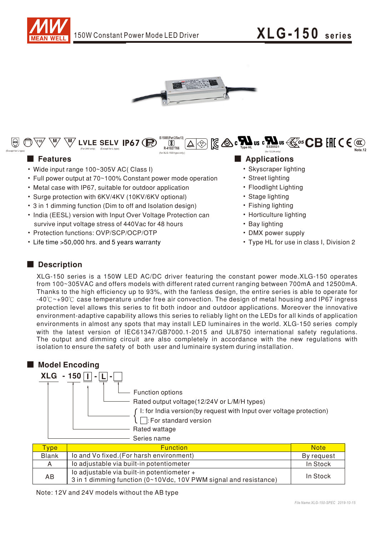





- Wide input range 100~305V AC( Class I)
- Full power output at 70~100% Constant power mode operation
- Metal case with IP67, suitable for outdoor application
- Surge protection with 6KV/4KV (10KV/6KV optional)
- 3 in 1 dimming function (Dim to off and Isolation design)
- India (EESL) version with Input Over Voltage Protection can survive input voltage stress of 440Vac for 48 hours
- Protection functions: OVP/SCP/OCP/OTP
- Life time > 50,000 hrs. and 5 years warranty

### ■ Features **■ Propositions**

- Skyscraper lighting
- Street lighting
- Floodlight Lighting
- Stage lighting
- Fishing lighting
- Horticulture lighting
- Bay lighting
- DMX power supply
- Type HL for use in class I, Division 2

## Description

XLG-150 series is a 150W LED AC/DC driver featuring the constant power mode.XLG-150 operates from 100~305VAC and offers models with different rated current ranging between 700mA and 12500mA. Thanks to the high efficiency up to 93%, with the fanless design, the entire series is able to operate for -40°C ~+90°C case temperature under free air convection. The design of metal housing and IP67 ingress protection level allows this series to fit both indoor and outdoor applications. Moreover the innovative environment-adaptive capability allows this series to reliably light on the LEDs for all kinds of application environments in almost any spots that may install LED luminaires in the world. XLG-150 series comply with the latest version of IEC61347/GB7000.1-2015 and UL8750 international safety regulations. The output and dimming circuit are also completely in accordance with the new regulations with isolation to ensure the safety of both user and luminaire system during installation.



| <b>vpe</b>   | <b>Function</b>                                                                                                | <b>Note</b> |
|--------------|----------------------------------------------------------------------------------------------------------------|-------------|
| <b>Blank</b> | lo and Vo fixed. (For harsh environment)                                                                       | By request  |
| A            | lo adjustable via built-in potentiometer                                                                       | In Stock    |
| AB           | lo adjustable via built-in potentiometer +<br>3 in 1 dimming function (0~10Vdc, 10V PWM signal and resistance) | In Stock    |

Note: 12V and 24V models without the AB type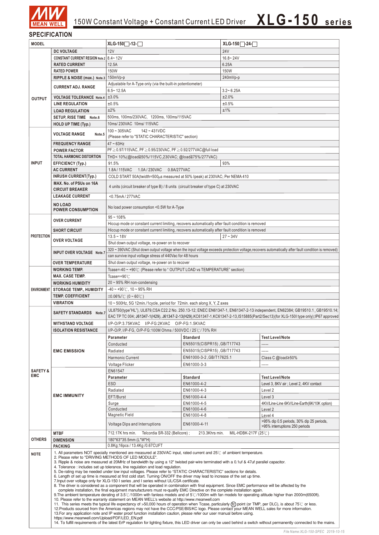

150W Constant Voltage + Constant Current LED Driver  $XLG-150$  **series** 

### **SPECIFICATION**

| <b>MODEL</b>        |                                                                                                                                                                                                                                                                                                                                                                                                                                                                                                                                                                                                                                                                                                                                                                                                                                                                                                                                                                                                                                                                                                                                                                                                                                                                                                                                                                                                                                                                                                                                                                                                                                                                                                                                                                                                                   | XLG-150 <sup>-1</sup> -12-                                                                                                                                                                            |                             | XLG-150 <sup>−</sup> -24- |                                                                                                                                                                             |  |  |
|---------------------|-------------------------------------------------------------------------------------------------------------------------------------------------------------------------------------------------------------------------------------------------------------------------------------------------------------------------------------------------------------------------------------------------------------------------------------------------------------------------------------------------------------------------------------------------------------------------------------------------------------------------------------------------------------------------------------------------------------------------------------------------------------------------------------------------------------------------------------------------------------------------------------------------------------------------------------------------------------------------------------------------------------------------------------------------------------------------------------------------------------------------------------------------------------------------------------------------------------------------------------------------------------------------------------------------------------------------------------------------------------------------------------------------------------------------------------------------------------------------------------------------------------------------------------------------------------------------------------------------------------------------------------------------------------------------------------------------------------------------------------------------------------------------------------------------------------------|-------------------------------------------------------------------------------------------------------------------------------------------------------------------------------------------------------|-----------------------------|---------------------------|-----------------------------------------------------------------------------------------------------------------------------------------------------------------------------|--|--|
|                     | <b>DC VOLTAGE</b>                                                                                                                                                                                                                                                                                                                                                                                                                                                                                                                                                                                                                                                                                                                                                                                                                                                                                                                                                                                                                                                                                                                                                                                                                                                                                                                                                                                                                                                                                                                                                                                                                                                                                                                                                                                                 | <b>12V</b>                                                                                                                                                                                            |                             | 24V                       |                                                                                                                                                                             |  |  |
|                     | CONSTANT CURRENT REGION Note.2 8.4~12V                                                                                                                                                                                                                                                                                                                                                                                                                                                                                                                                                                                                                                                                                                                                                                                                                                                                                                                                                                                                                                                                                                                                                                                                                                                                                                                                                                                                                                                                                                                                                                                                                                                                                                                                                                            |                                                                                                                                                                                                       |                             | $16.8 - 24V$              |                                                                                                                                                                             |  |  |
|                     | <b>RATED CURRENT</b>                                                                                                                                                                                                                                                                                                                                                                                                                                                                                                                                                                                                                                                                                                                                                                                                                                                                                                                                                                                                                                                                                                                                                                                                                                                                                                                                                                                                                                                                                                                                                                                                                                                                                                                                                                                              | 12.5A                                                                                                                                                                                                 |                             | 6.25A                     |                                                                                                                                                                             |  |  |
|                     | <b>RATED POWER</b>                                                                                                                                                                                                                                                                                                                                                                                                                                                                                                                                                                                                                                                                                                                                                                                                                                                                                                                                                                                                                                                                                                                                                                                                                                                                                                                                                                                                                                                                                                                                                                                                                                                                                                                                                                                                | 150W                                                                                                                                                                                                  |                             | 150W                      |                                                                                                                                                                             |  |  |
|                     | RIPPLE & NOISE (max.) Note.3                                                                                                                                                                                                                                                                                                                                                                                                                                                                                                                                                                                                                                                                                                                                                                                                                                                                                                                                                                                                                                                                                                                                                                                                                                                                                                                                                                                                                                                                                                                                                                                                                                                                                                                                                                                      | 150mVp-p                                                                                                                                                                                              |                             | 240mVp-p                  |                                                                                                                                                                             |  |  |
| <b>OUTPUT</b>       | <b>CURRENT ADJ. RANGE</b>                                                                                                                                                                                                                                                                                                                                                                                                                                                                                                                                                                                                                                                                                                                                                                                                                                                                                                                                                                                                                                                                                                                                                                                                                                                                                                                                                                                                                                                                                                                                                                                                                                                                                                                                                                                         | Adjustable for A-Type only (via the built-in potentiometer)                                                                                                                                           |                             |                           |                                                                                                                                                                             |  |  |
|                     | <b>VOLTAGE TOLERANCE Note.4</b>                                                                                                                                                                                                                                                                                                                                                                                                                                                                                                                                                                                                                                                                                                                                                                                                                                                                                                                                                                                                                                                                                                                                                                                                                                                                                                                                                                                                                                                                                                                                                                                                                                                                                                                                                                                   | $6.5 - 12.5A$<br>±3.0%                                                                                                                                                                                |                             | $3.2 - 6.25A$<br>±2.0%    |                                                                                                                                                                             |  |  |
|                     | <b>LINE REGULATION</b>                                                                                                                                                                                                                                                                                                                                                                                                                                                                                                                                                                                                                                                                                                                                                                                                                                                                                                                                                                                                                                                                                                                                                                                                                                                                                                                                                                                                                                                                                                                                                                                                                                                                                                                                                                                            | ±0.5%                                                                                                                                                                                                 |                             | ±0.5%                     |                                                                                                                                                                             |  |  |
|                     | <b>LOAD REGULATION</b>                                                                                                                                                                                                                                                                                                                                                                                                                                                                                                                                                                                                                                                                                                                                                                                                                                                                                                                                                                                                                                                                                                                                                                                                                                                                                                                                                                                                                                                                                                                                                                                                                                                                                                                                                                                            | ±2%<br>±1%                                                                                                                                                                                            |                             |                           |                                                                                                                                                                             |  |  |
|                     | SETUP, RISE TIME Note.6                                                                                                                                                                                                                                                                                                                                                                                                                                                                                                                                                                                                                                                                                                                                                                                                                                                                                                                                                                                                                                                                                                                                                                                                                                                                                                                                                                                                                                                                                                                                                                                                                                                                                                                                                                                           | 500ms, 100ms/230VAC, 1200ms, 100ms/115VAC                                                                                                                                                             |                             |                           |                                                                                                                                                                             |  |  |
|                     | <b>HOLD UP TIME (Typ.)</b>                                                                                                                                                                                                                                                                                                                                                                                                                                                                                                                                                                                                                                                                                                                                                                                                                                                                                                                                                                                                                                                                                                                                                                                                                                                                                                                                                                                                                                                                                                                                                                                                                                                                                                                                                                                        | 10ms/ 230VAC 10ms/ 115VAC                                                                                                                                                                             |                             |                           |                                                                                                                                                                             |  |  |
|                     | <b>VOLTAGE RANGE</b><br>Note.5                                                                                                                                                                                                                                                                                                                                                                                                                                                                                                                                                                                                                                                                                                                                                                                                                                                                                                                                                                                                                                                                                                                                                                                                                                                                                                                                                                                                                                                                                                                                                                                                                                                                                                                                                                                    | 100~305VAC<br>142~431VDC<br>(Please refer to "STATIC CHARACTERISTIC" section)                                                                                                                         |                             |                           |                                                                                                                                                                             |  |  |
|                     | <b>FREQUENCY RANGE</b>                                                                                                                                                                                                                                                                                                                                                                                                                                                                                                                                                                                                                                                                                                                                                                                                                                                                                                                                                                                                                                                                                                                                                                                                                                                                                                                                                                                                                                                                                                                                                                                                                                                                                                                                                                                            | $47 \sim 63$ Hz                                                                                                                                                                                       |                             |                           |                                                                                                                                                                             |  |  |
|                     | <b>POWER FACTOR</b>                                                                                                                                                                                                                                                                                                                                                                                                                                                                                                                                                                                                                                                                                                                                                                                                                                                                                                                                                                                                                                                                                                                                                                                                                                                                                                                                                                                                                                                                                                                                                                                                                                                                                                                                                                                               | PF≥0.97/115VAC, PF≥0.95/230VAC, PF≥0.92/277VAC@full load                                                                                                                                              |                             |                           |                                                                                                                                                                             |  |  |
|                     | TOTAL HARMONIC DISTORTION                                                                                                                                                                                                                                                                                                                                                                                                                                                                                                                                                                                                                                                                                                                                                                                                                                                                                                                                                                                                                                                                                                                                                                                                                                                                                                                                                                                                                                                                                                                                                                                                                                                                                                                                                                                         | THD< 10%(@load≧50%/115VC,230VAC; @load≧75%/277VAC)                                                                                                                                                    |                             |                           |                                                                                                                                                                             |  |  |
| <b>INPUT</b>        | <b>EFFICIENCY (Typ.)</b>                                                                                                                                                                                                                                                                                                                                                                                                                                                                                                                                                                                                                                                                                                                                                                                                                                                                                                                                                                                                                                                                                                                                                                                                                                                                                                                                                                                                                                                                                                                                                                                                                                                                                                                                                                                          | 93%<br>91.5%                                                                                                                                                                                          |                             |                           |                                                                                                                                                                             |  |  |
|                     | <b>AC CURRENT</b>                                                                                                                                                                                                                                                                                                                                                                                                                                                                                                                                                                                                                                                                                                                                                                                                                                                                                                                                                                                                                                                                                                                                                                                                                                                                                                                                                                                                                                                                                                                                                                                                                                                                                                                                                                                                 | 1.8A/115VAC<br>1.0A / 230 VAC<br>0.8A/277VAC                                                                                                                                                          |                             |                           |                                                                                                                                                                             |  |  |
|                     | <b>INRUSH CURRENT(Typ.)</b>                                                                                                                                                                                                                                                                                                                                                                                                                                                                                                                                                                                                                                                                                                                                                                                                                                                                                                                                                                                                                                                                                                                                                                                                                                                                                                                                                                                                                                                                                                                                                                                                                                                                                                                                                                                       | COLD START 50A(twidth=500µs measured at 50% Ipeak) at 230VAC; Per NEMA 410                                                                                                                            |                             |                           |                                                                                                                                                                             |  |  |
|                     | MAX. No. of PSUs on 16A<br><b>CIRCUIT BREAKER</b>                                                                                                                                                                                                                                                                                                                                                                                                                                                                                                                                                                                                                                                                                                                                                                                                                                                                                                                                                                                                                                                                                                                                                                                                                                                                                                                                                                                                                                                                                                                                                                                                                                                                                                                                                                 | 4 units (circuit breaker of type B) / 8 units (circuit breaker of type C) at 230VAC                                                                                                                   |                             |                           |                                                                                                                                                                             |  |  |
|                     | <b>LEAKAGE CURRENT</b>                                                                                                                                                                                                                                                                                                                                                                                                                                                                                                                                                                                                                                                                                                                                                                                                                                                                                                                                                                                                                                                                                                                                                                                                                                                                                                                                                                                                                                                                                                                                                                                                                                                                                                                                                                                            | <0.75mA/277VAC                                                                                                                                                                                        |                             |                           |                                                                                                                                                                             |  |  |
|                     | <b>NO LOAD</b><br><b>POWER CONSUMPTION</b>                                                                                                                                                                                                                                                                                                                                                                                                                                                                                                                                                                                                                                                                                                                                                                                                                                                                                                                                                                                                                                                                                                                                                                                                                                                                                                                                                                                                                                                                                                                                                                                                                                                                                                                                                                        | No load power consumption <0.5W for A-Type                                                                                                                                                            |                             |                           |                                                                                                                                                                             |  |  |
|                     |                                                                                                                                                                                                                                                                                                                                                                                                                                                                                                                                                                                                                                                                                                                                                                                                                                                                                                                                                                                                                                                                                                                                                                                                                                                                                                                                                                                                                                                                                                                                                                                                                                                                                                                                                                                                                   | $95 - 108%$                                                                                                                                                                                           |                             |                           |                                                                                                                                                                             |  |  |
|                     | <b>OVER CURRENT</b>                                                                                                                                                                                                                                                                                                                                                                                                                                                                                                                                                                                                                                                                                                                                                                                                                                                                                                                                                                                                                                                                                                                                                                                                                                                                                                                                                                                                                                                                                                                                                                                                                                                                                                                                                                                               | Hiccup mode or constant current limiting, recovers automatically after fault condition is removed                                                                                                     |                             |                           |                                                                                                                                                                             |  |  |
|                     | <b>SHORT CIRCUIT</b>                                                                                                                                                                                                                                                                                                                                                                                                                                                                                                                                                                                                                                                                                                                                                                                                                                                                                                                                                                                                                                                                                                                                                                                                                                                                                                                                                                                                                                                                                                                                                                                                                                                                                                                                                                                              | Hiccup mode or constant current limiting, recovers automatically after fault condition is removed                                                                                                     |                             |                           |                                                                                                                                                                             |  |  |
| <b>PROTECTION</b>   | <b>OVER VOLTAGE</b>                                                                                                                                                                                                                                                                                                                                                                                                                                                                                                                                                                                                                                                                                                                                                                                                                                                                                                                                                                                                                                                                                                                                                                                                                                                                                                                                                                                                                                                                                                                                                                                                                                                                                                                                                                                               | $13.5 - 18V$                                                                                                                                                                                          |                             | $27 - 34V$                |                                                                                                                                                                             |  |  |
|                     |                                                                                                                                                                                                                                                                                                                                                                                                                                                                                                                                                                                                                                                                                                                                                                                                                                                                                                                                                                                                                                                                                                                                                                                                                                                                                                                                                                                                                                                                                                                                                                                                                                                                                                                                                                                                                   | Shut down output voltage, re-power on to recover<br>320 ~ 390VAC (Shut down output voltage when the input voltage exceeds protection voltage,recovers automatically after fault condition is removed) |                             |                           |                                                                                                                                                                             |  |  |
|                     | INPUT OVER VOLTAGE Note.7                                                                                                                                                                                                                                                                                                                                                                                                                                                                                                                                                                                                                                                                                                                                                                                                                                                                                                                                                                                                                                                                                                                                                                                                                                                                                                                                                                                                                                                                                                                                                                                                                                                                                                                                                                                         | can survive input voltage stress of 440Vac for 48 hours                                                                                                                                               |                             |                           |                                                                                                                                                                             |  |  |
|                     | <b>OVER TEMPERATURE</b>                                                                                                                                                                                                                                                                                                                                                                                                                                                                                                                                                                                                                                                                                                                                                                                                                                                                                                                                                                                                                                                                                                                                                                                                                                                                                                                                                                                                                                                                                                                                                                                                                                                                                                                                                                                           | Shut down output voltage, re-power on to recover                                                                                                                                                      |                             |                           |                                                                                                                                                                             |  |  |
|                     | <b>WORKING TEMP.</b>                                                                                                                                                                                                                                                                                                                                                                                                                                                                                                                                                                                                                                                                                                                                                                                                                                                                                                                                                                                                                                                                                                                                                                                                                                                                                                                                                                                                                                                                                                                                                                                                                                                                                                                                                                                              | Tcase=-40 ~ +90℃ (Please refer to "OUTPUT LOAD vs TEMPERATURE" section)                                                                                                                               |                             |                           |                                                                                                                                                                             |  |  |
|                     | <b>MAX. CASE TEMP.</b>                                                                                                                                                                                                                                                                                                                                                                                                                                                                                                                                                                                                                                                                                                                                                                                                                                                                                                                                                                                                                                                                                                                                                                                                                                                                                                                                                                                                                                                                                                                                                                                                                                                                                                                                                                                            | Tcase=+90°C                                                                                                                                                                                           |                             |                           |                                                                                                                                                                             |  |  |
|                     | <b>WORKING HUMIDITY</b>                                                                                                                                                                                                                                                                                                                                                                                                                                                                                                                                                                                                                                                                                                                                                                                                                                                                                                                                                                                                                                                                                                                                                                                                                                                                                                                                                                                                                                                                                                                                                                                                                                                                                                                                                                                           | $20 \sim 95\%$ RH non-condensing                                                                                                                                                                      |                             |                           |                                                                                                                                                                             |  |  |
| <b>ENVIRONMENT</b>  | <b>STORAGE TEMP., HUMIDITY</b>                                                                                                                                                                                                                                                                                                                                                                                                                                                                                                                                                                                                                                                                                                                                                                                                                                                                                                                                                                                                                                                                                                                                                                                                                                                                                                                                                                                                                                                                                                                                                                                                                                                                                                                                                                                    | $-40 \sim +90^{\circ}$ C, 10 ~ 95% RH                                                                                                                                                                 |                             |                           |                                                                                                                                                                             |  |  |
|                     | <b>TEMP. COEFFICIENT</b>                                                                                                                                                                                                                                                                                                                                                                                                                                                                                                                                                                                                                                                                                                                                                                                                                                                                                                                                                                                                                                                                                                                                                                                                                                                                                                                                                                                                                                                                                                                                                                                                                                                                                                                                                                                          | $\pm 0.06\%$ (0 ~ 60°C)                                                                                                                                                                               |                             |                           |                                                                                                                                                                             |  |  |
|                     | <b>VIBRATION</b>                                                                                                                                                                                                                                                                                                                                                                                                                                                                                                                                                                                                                                                                                                                                                                                                                                                                                                                                                                                                                                                                                                                                                                                                                                                                                                                                                                                                                                                                                                                                                                                                                                                                                                                                                                                                  | 10 $\sim$ 500Hz, 5G 12min./1 cycle, period for 72min. each along X, Y, Z axes                                                                                                                         |                             |                           |                                                                                                                                                                             |  |  |
|                     | SAFETY STANDARDS Note.7                                                                                                                                                                                                                                                                                                                                                                                                                                                                                                                                                                                                                                                                                                                                                                                                                                                                                                                                                                                                                                                                                                                                                                                                                                                                                                                                                                                                                                                                                                                                                                                                                                                                                                                                                                                           | UL8750(type"HL"), UL879,CSA C22.2 No. 250.13-12; ENEC EN61347-1, EN61347-2-13 independent, EN62384; GB19510.1, GB19510.14;                                                                            |                             |                           |                                                                                                                                                                             |  |  |
|                     | <b>WITHSTAND VOLTAGE</b>                                                                                                                                                                                                                                                                                                                                                                                                                                                                                                                                                                                                                                                                                                                                                                                                                                                                                                                                                                                                                                                                                                                                                                                                                                                                                                                                                                                                                                                                                                                                                                                                                                                                                                                                                                                          | EAC TP TC 004; J61347-1(H29), J61347-2-13(H29),KC61347-1,KC61347-2-13,IS15885(Part2/Sec13)(for XLG-150I type only);IP67 approved<br>I/P-O/P:3.75KVAC I/P-FG:2KVAC O/P-FG:1.5KVAC                      |                             |                           |                                                                                                                                                                             |  |  |
|                     | <b>ISOLATION RESISTANCE</b>                                                                                                                                                                                                                                                                                                                                                                                                                                                                                                                                                                                                                                                                                                                                                                                                                                                                                                                                                                                                                                                                                                                                                                                                                                                                                                                                                                                                                                                                                                                                                                                                                                                                                                                                                                                       | I/P-O/P, I/P-FG, O/P-FG:100M Ohms / 500VDC / 25℃/ 70% RH                                                                                                                                              |                             |                           |                                                                                                                                                                             |  |  |
|                     |                                                                                                                                                                                                                                                                                                                                                                                                                                                                                                                                                                                                                                                                                                                                                                                                                                                                                                                                                                                                                                                                                                                                                                                                                                                                                                                                                                                                                                                                                                                                                                                                                                                                                                                                                                                                                   | Parameter                                                                                                                                                                                             | <b>Standard</b>             |                           | <b>Test Level/Note</b>                                                                                                                                                      |  |  |
|                     |                                                                                                                                                                                                                                                                                                                                                                                                                                                                                                                                                                                                                                                                                                                                                                                                                                                                                                                                                                                                                                                                                                                                                                                                                                                                                                                                                                                                                                                                                                                                                                                                                                                                                                                                                                                                                   | Conducted                                                                                                                                                                                             | EN55015(CISPR15), GB/T17743 |                           | -----                                                                                                                                                                       |  |  |
|                     | <b>EMC EMISSION</b>                                                                                                                                                                                                                                                                                                                                                                                                                                                                                                                                                                                                                                                                                                                                                                                                                                                                                                                                                                                                                                                                                                                                                                                                                                                                                                                                                                                                                                                                                                                                                                                                                                                                                                                                                                                               | Radiated                                                                                                                                                                                              | EN55015(CISPR15), GB/T17743 |                           |                                                                                                                                                                             |  |  |
|                     |                                                                                                                                                                                                                                                                                                                                                                                                                                                                                                                                                                                                                                                                                                                                                                                                                                                                                                                                                                                                                                                                                                                                                                                                                                                                                                                                                                                                                                                                                                                                                                                                                                                                                                                                                                                                                   | Harmonic Current                                                                                                                                                                                      | EN61000-3-2, GB/T17625.1    |                           | Class C @load $\geq 50\%$                                                                                                                                                   |  |  |
|                     |                                                                                                                                                                                                                                                                                                                                                                                                                                                                                                                                                                                                                                                                                                                                                                                                                                                                                                                                                                                                                                                                                                                                                                                                                                                                                                                                                                                                                                                                                                                                                                                                                                                                                                                                                                                                                   | Voltage Flicker                                                                                                                                                                                       | EN61000-3-3                 |                           | -----                                                                                                                                                                       |  |  |
| <b>SAFETY &amp;</b> | <b>EMC IMMUNITY</b>                                                                                                                                                                                                                                                                                                                                                                                                                                                                                                                                                                                                                                                                                                                                                                                                                                                                                                                                                                                                                                                                                                                                                                                                                                                                                                                                                                                                                                                                                                                                                                                                                                                                                                                                                                                               | EN61547                                                                                                                                                                                               |                             |                           |                                                                                                                                                                             |  |  |
| <b>EMC</b>          |                                                                                                                                                                                                                                                                                                                                                                                                                                                                                                                                                                                                                                                                                                                                                                                                                                                                                                                                                                                                                                                                                                                                                                                                                                                                                                                                                                                                                                                                                                                                                                                                                                                                                                                                                                                                                   | Parameter                                                                                                                                                                                             | Standard                    |                           | <b>Test Level/Note</b>                                                                                                                                                      |  |  |
|                     |                                                                                                                                                                                                                                                                                                                                                                                                                                                                                                                                                                                                                                                                                                                                                                                                                                                                                                                                                                                                                                                                                                                                                                                                                                                                                                                                                                                                                                                                                                                                                                                                                                                                                                                                                                                                                   | ESD                                                                                                                                                                                                   | EN61000-4-2                 |                           | Level 3, 8KV air ; Level 2, 4KV contact                                                                                                                                     |  |  |
|                     |                                                                                                                                                                                                                                                                                                                                                                                                                                                                                                                                                                                                                                                                                                                                                                                                                                                                                                                                                                                                                                                                                                                                                                                                                                                                                                                                                                                                                                                                                                                                                                                                                                                                                                                                                                                                                   | Radiated                                                                                                                                                                                              | EN61000-4-3                 |                           | Level 2                                                                                                                                                                     |  |  |
|                     |                                                                                                                                                                                                                                                                                                                                                                                                                                                                                                                                                                                                                                                                                                                                                                                                                                                                                                                                                                                                                                                                                                                                                                                                                                                                                                                                                                                                                                                                                                                                                                                                                                                                                                                                                                                                                   | EFT/Burst                                                                                                                                                                                             | EN61000-4-4                 |                           | Level 3                                                                                                                                                                     |  |  |
|                     |                                                                                                                                                                                                                                                                                                                                                                                                                                                                                                                                                                                                                                                                                                                                                                                                                                                                                                                                                                                                                                                                                                                                                                                                                                                                                                                                                                                                                                                                                                                                                                                                                                                                                                                                                                                                                   | Surge                                                                                                                                                                                                 | EN61000-4-5                 |                           | 4KV/Line-Line 6KV/Line-Earth(6K/10K option)                                                                                                                                 |  |  |
|                     |                                                                                                                                                                                                                                                                                                                                                                                                                                                                                                                                                                                                                                                                                                                                                                                                                                                                                                                                                                                                                                                                                                                                                                                                                                                                                                                                                                                                                                                                                                                                                                                                                                                                                                                                                                                                                   | Conducted                                                                                                                                                                                             | EN61000-4-6                 |                           | Level 2                                                                                                                                                                     |  |  |
|                     |                                                                                                                                                                                                                                                                                                                                                                                                                                                                                                                                                                                                                                                                                                                                                                                                                                                                                                                                                                                                                                                                                                                                                                                                                                                                                                                                                                                                                                                                                                                                                                                                                                                                                                                                                                                                                   | Magnetic Field                                                                                                                                                                                        | EN61000-4-8                 |                           | Level 4                                                                                                                                                                     |  |  |
|                     |                                                                                                                                                                                                                                                                                                                                                                                                                                                                                                                                                                                                                                                                                                                                                                                                                                                                                                                                                                                                                                                                                                                                                                                                                                                                                                                                                                                                                                                                                                                                                                                                                                                                                                                                                                                                                   | Voltage Dips and Interruptions                                                                                                                                                                        | EN61000-4-11                |                           | >95% dip 0.5 periods, 30% dip 25 periods,<br>>95% interruptions 250 periods                                                                                                 |  |  |
|                     | <b>MTBF</b>                                                                                                                                                                                                                                                                                                                                                                                                                                                                                                                                                                                                                                                                                                                                                                                                                                                                                                                                                                                                                                                                                                                                                                                                                                                                                                                                                                                                                                                                                                                                                                                                                                                                                                                                                                                                       | 712.17K hrs min.<br>Telcordia SR-332 (Bellcore);<br>213.3Khrs min.<br>MIL-HDBK-217F (25℃)                                                                                                             |                             |                           |                                                                                                                                                                             |  |  |
| <b>OTHERS</b>       | <b>DIMENSION</b>                                                                                                                                                                                                                                                                                                                                                                                                                                                                                                                                                                                                                                                                                                                                                                                                                                                                                                                                                                                                                                                                                                                                                                                                                                                                                                                                                                                                                                                                                                                                                                                                                                                                                                                                                                                                  | 180*63*35.5mm (L*W*H)                                                                                                                                                                                 |                             |                           |                                                                                                                                                                             |  |  |
|                     | 0.8Kg;16pcs / 13.4Kg / 0.67 CUFT<br><b>PACKING</b>                                                                                                                                                                                                                                                                                                                                                                                                                                                                                                                                                                                                                                                                                                                                                                                                                                                                                                                                                                                                                                                                                                                                                                                                                                                                                                                                                                                                                                                                                                                                                                                                                                                                                                                                                                |                                                                                                                                                                                                       |                             |                           |                                                                                                                                                                             |  |  |
| <b>NOTE</b>         | 1. All parameters NOT specially mentioned are measured at 230VAC input, rated current and 25°C of ambient temperature.<br>2. Please refer to "DRIVING METHODS OF LED MODULE".<br>3. Ripple & noise are measured at 20MHz of bandwidth by using a 12" twisted pair-wire terminated with a 0.1uf & 47uf parallel capacitor.<br>4. Tolerance: includes set up tolerance, line regulation and load regulation.<br>5. De-rating may be needed under low input voltages. Please refer to "STATIC CHARACTERISTIC" sections for details.<br>6. Length of set up time is measured at first cold start. Turning ON/OFF the driver may lead to increase of the set up time.<br>7. Input over voltage only for XLG-150 I series , and I series without UL/CSA certificate.<br>8. The driver is considered as a component that will be operated in combination with final equipment. Since EMC performance will be affected by the<br>complete installation, the final equipment manufacturers must re-qualify EMC Directive on the complete installation again.<br>9. The ambient temperature derating of 3.5°C/1000m with fanless models and of 5°C/1000m with fan models for operating altitude higher than 2000m(6500ft).<br>10. Please refer to the warranty statement on MEAN WELL's website at http://www.meanwell.com<br>11. This series meets the typical life expectancy of >50,000 hours of operation when Tcase, particularly (tc) point (or TMP, per DLC), is about 75℃ or less.<br>12. Products sourced from the Americas regions may not have the CCC/PSE/BIS/KC logo. Please contact your MEAN WELL sales for more information.<br>13. For any application note and IP water proof function installation caution, please refer our user manual before using.<br>https://www.meanwell.com/Upload/PDF/LED EN.pdf |                                                                                                                                                                                                       |                             |                           |                                                                                                                                                                             |  |  |
|                     |                                                                                                                                                                                                                                                                                                                                                                                                                                                                                                                                                                                                                                                                                                                                                                                                                                                                                                                                                                                                                                                                                                                                                                                                                                                                                                                                                                                                                                                                                                                                                                                                                                                                                                                                                                                                                   |                                                                                                                                                                                                       |                             |                           | 14. To fulfill requirements of the latest ErP regulation for lighting fixture, this LED driver can only be used behind a switch without permanently connected to the mains. |  |  |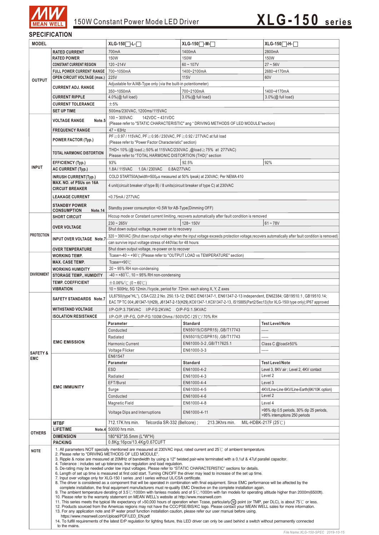

### **SPECIFICATION**

| <b>MODEL</b>                      |                                                           | XLG-150 <sup>-L-</sup>                                                                                                           | XLG-150 <sub>1</sub> -M-                                                                                                                                                                                                                                                    | XLG-150 <sup>-</sup> H-                                                     |  |  |  |
|-----------------------------------|-----------------------------------------------------------|----------------------------------------------------------------------------------------------------------------------------------|-----------------------------------------------------------------------------------------------------------------------------------------------------------------------------------------------------------------------------------------------------------------------------|-----------------------------------------------------------------------------|--|--|--|
|                                   | <b>RATED CURRENT</b>                                      | 700mA                                                                                                                            | 1400mA                                                                                                                                                                                                                                                                      | 2800mA                                                                      |  |  |  |
| <b>OUTPUT</b>                     | <b>RATED POWER</b>                                        | 150W                                                                                                                             | 150W                                                                                                                                                                                                                                                                        | 150W                                                                        |  |  |  |
|                                   | <b>CONSTANT CURRENT REGION</b>                            | $120 - 214V$                                                                                                                     | $60 - 107V$                                                                                                                                                                                                                                                                 | $27 - 56V$                                                                  |  |  |  |
|                                   | <b>FULL POWER CURRENT RANGE</b>                           | 700~1050mA                                                                                                                       | 1400~2100mA                                                                                                                                                                                                                                                                 | 2680~4170mA                                                                 |  |  |  |
|                                   | <b>OPEN CIRCUIT VOLTAGE (max.)</b>                        | 225V<br>115V<br>60V                                                                                                              |                                                                                                                                                                                                                                                                             |                                                                             |  |  |  |
|                                   | <b>CURRENT ADJ. RANGE</b>                                 | Adjustable for A/AB-Type only (via the built-in potentiometer)                                                                   |                                                                                                                                                                                                                                                                             |                                                                             |  |  |  |
|                                   |                                                           | 350~1050mA                                                                                                                       | 700~2100mA                                                                                                                                                                                                                                                                  | 1400~4170mA                                                                 |  |  |  |
|                                   | <b>CURRENT RIPPLE</b>                                     | 4.0%(@ full load)                                                                                                                | 3.0%(@ full load)                                                                                                                                                                                                                                                           | 3.0%(@ full load)                                                           |  |  |  |
|                                   | <b>CURRENT TOLERANCE</b>                                  | ±5%                                                                                                                              |                                                                                                                                                                                                                                                                             |                                                                             |  |  |  |
|                                   | <b>SET UP TIME</b>                                        | 500ms/230VAC, 1200ms/115VAC                                                                                                      |                                                                                                                                                                                                                                                                             |                                                                             |  |  |  |
|                                   | <b>VOLTAGE RANGE</b><br>Note.5                            | $100 - 305$ VAC<br>142VDC ~ 431VDC<br>(Please refer to "STATIC CHARACTERISTIC" ang "DRIVING METHODS OF LED MODULE"section)       |                                                                                                                                                                                                                                                                             |                                                                             |  |  |  |
|                                   | <b>FREQUENCY RANGE</b>                                    | $47 - 63$ Hz                                                                                                                     |                                                                                                                                                                                                                                                                             |                                                                             |  |  |  |
|                                   |                                                           | PF ≥ 0.97 / 115VAC, PF ≥ 0.95 / 230VAC, PF ≥ 0.92 / 277VAC at full load                                                          |                                                                                                                                                                                                                                                                             |                                                                             |  |  |  |
|                                   | <b>POWER FACTOR (Typ.)</b>                                | (Please refer to "Power Factor Characteristic" section)                                                                          |                                                                                                                                                                                                                                                                             |                                                                             |  |  |  |
|                                   |                                                           | THD< 10% (@ load ≥ 50% at 115VAC/230VAC, @ load ≥ 75% at 277VAC)                                                                 |                                                                                                                                                                                                                                                                             |                                                                             |  |  |  |
|                                   | TOTAL HARMONIC DISTORTION                                 | Please refer to "TOTAL HARMONIC DISTORTION (THD)" section                                                                        |                                                                                                                                                                                                                                                                             |                                                                             |  |  |  |
|                                   | <b>EFFICIENCY (Typ.)</b>                                  | 93%                                                                                                                              | 92.5%                                                                                                                                                                                                                                                                       | 92%                                                                         |  |  |  |
| <b>INPUT</b>                      | <b>AC CURRENT (Typ.)</b>                                  | 1.8A/115VAC<br>1.0A / 230VAC<br>0.8A/277VAC                                                                                      |                                                                                                                                                                                                                                                                             |                                                                             |  |  |  |
|                                   | <b>INRUSH CURRENT(Typ.)</b>                               | COLD START50A(twidth=500µs measured at 50% Ipeak) at 230VAC; Per NEMA 410                                                        |                                                                                                                                                                                                                                                                             |                                                                             |  |  |  |
|                                   | MAX. NO. of PSUs on 16A                                   | 4 unit(circuit breaker of type B) / 8 units(circuit breaker of type C) at 230VAC                                                 |                                                                                                                                                                                                                                                                             |                                                                             |  |  |  |
|                                   | <b>CIRCUIT BREAKER</b>                                    |                                                                                                                                  |                                                                                                                                                                                                                                                                             |                                                                             |  |  |  |
|                                   | <b>LEAKAGE CURRENT</b>                                    | <0.75mA/277VAC                                                                                                                   |                                                                                                                                                                                                                                                                             |                                                                             |  |  |  |
|                                   | <b>STANDBY POWER</b>                                      |                                                                                                                                  |                                                                                                                                                                                                                                                                             |                                                                             |  |  |  |
|                                   | <b>CONSUMPTION</b><br>Note.14                             | Standby power consumption <0.5W for AB-Type(Dimming OFF)                                                                         |                                                                                                                                                                                                                                                                             |                                                                             |  |  |  |
|                                   | <b>SHORT CIRCUIT</b>                                      |                                                                                                                                  | Hiccup mode or Constant current limiting, recovers automatically after fault condition is removed                                                                                                                                                                           |                                                                             |  |  |  |
|                                   | <b>OVER VOLTAGE</b>                                       | $230 - 265V$                                                                                                                     | 128~150V                                                                                                                                                                                                                                                                    | $61 - 78V$                                                                  |  |  |  |
|                                   |                                                           | Shut down output voltage, re-power on to recovery                                                                                |                                                                                                                                                                                                                                                                             |                                                                             |  |  |  |
| <b>PROTECTION</b>                 | INPUT OVER VOLTAGE Note.7                                 |                                                                                                                                  | 320 ~ 390VAC (Shut down output voltage when the input voltage exceeds protection voltage, recovers automatically after fault condition is removed)                                                                                                                          |                                                                             |  |  |  |
|                                   |                                                           | can survive input voltage stress of 440Vac for 48 hours                                                                          |                                                                                                                                                                                                                                                                             |                                                                             |  |  |  |
|                                   | <b>OVER TEMPERATURE</b>                                   | Shut down output voltage, re-power on to recover                                                                                 |                                                                                                                                                                                                                                                                             |                                                                             |  |  |  |
|                                   | <b>WORKING TEMP.</b><br><b>MAX. CASE TEMP.</b>            | Tcase=-40 ~ +90°C (Please refer to "OUTPUT LOAD vs TEMPERATURE" section)                                                         |                                                                                                                                                                                                                                                                             |                                                                             |  |  |  |
|                                   |                                                           | Tcase=+90 $°C$                                                                                                                   |                                                                                                                                                                                                                                                                             |                                                                             |  |  |  |
| <b>ENVIRONMENT</b>                | <b>WORKING HUMIDITY</b><br><b>STORAGE TEMP., HUMIDITY</b> | 20~95% RH non-condensing<br>$-40 \sim +80^{\circ}$ C, 10 ~ 95% RH non-condensing                                                 |                                                                                                                                                                                                                                                                             |                                                                             |  |  |  |
|                                   | <b>TEMP. COEFFICIENT</b>                                  | $\pm 0.06\%$ / $\degree$ (0 ~ 60 $\degree$ C)                                                                                    |                                                                                                                                                                                                                                                                             |                                                                             |  |  |  |
|                                   | <b>VIBRATION</b>                                          | 10 ~ 500Hz, 5G 12min./1cycle, period for 72min. each along X, Y, Z axes                                                          |                                                                                                                                                                                                                                                                             |                                                                             |  |  |  |
|                                   |                                                           | UL8750(type"HL"), CSA C22.2 No. 250.13-12; ENEC EN61347-1, EN61347-2-13 independent, EN62384; GB19510.1, GB19510.14;             |                                                                                                                                                                                                                                                                             |                                                                             |  |  |  |
|                                   | <b>SAFETY STANDARDS Note.7</b>                            | EAC TP TC 004;J61347-1(H29), J61347-2-13(H29),KC61347-1,KC61347-2-13, IS15885(Part2/Sec13)(for XLG-150l type only);IP67 approved |                                                                                                                                                                                                                                                                             |                                                                             |  |  |  |
|                                   | <b>WITHSTAND VOLTAGE</b>                                  | I/P-O/P:3.75KVAC I/P-FG:2KVAC O/P-FG:1.5KVAC                                                                                     |                                                                                                                                                                                                                                                                             |                                                                             |  |  |  |
|                                   |                                                           | I/P-O/P, I/P-FG, O/P-FG:100M Ohms / 500VDC / 25°C / 70% RH                                                                       |                                                                                                                                                                                                                                                                             |                                                                             |  |  |  |
|                                   | <b>ISOLATION RESISTANCE</b>                               |                                                                                                                                  |                                                                                                                                                                                                                                                                             |                                                                             |  |  |  |
|                                   |                                                           | Parameter                                                                                                                        | Standard                                                                                                                                                                                                                                                                    |                                                                             |  |  |  |
|                                   |                                                           | Conducted                                                                                                                        | EN55015(CISPR15), GB/T17743                                                                                                                                                                                                                                                 | <b>Test Level/Note</b><br>-----                                             |  |  |  |
|                                   |                                                           | Radiated                                                                                                                         | EN55015(CISPR15), GB/T17743                                                                                                                                                                                                                                                 | -----                                                                       |  |  |  |
|                                   | <b>EMC EMISSION</b>                                       | Harmonic Current                                                                                                                 | EN61000-3-2, GB/T17625.1                                                                                                                                                                                                                                                    | Class C@load≥50%                                                            |  |  |  |
|                                   |                                                           | Voltage Flicker                                                                                                                  | EN61000-3-3                                                                                                                                                                                                                                                                 | -----                                                                       |  |  |  |
| <b>SAFETY &amp;</b><br><b>EMC</b> |                                                           | EN61547                                                                                                                          |                                                                                                                                                                                                                                                                             |                                                                             |  |  |  |
|                                   |                                                           | Parameter                                                                                                                        | <b>Standard</b>                                                                                                                                                                                                                                                             | <b>Test Level/Note</b>                                                      |  |  |  |
|                                   |                                                           | ESD                                                                                                                              | EN61000-4-2                                                                                                                                                                                                                                                                 | Level 3, 8KV air ; Level 2, 4KV contact                                     |  |  |  |
|                                   |                                                           | Radiated                                                                                                                         | EN61000-4-3                                                                                                                                                                                                                                                                 | Level 2                                                                     |  |  |  |
|                                   | <b>EMC IMMUNITY</b>                                       | EFT/Burst                                                                                                                        | EN61000-4-4                                                                                                                                                                                                                                                                 | Level 3                                                                     |  |  |  |
|                                   |                                                           | Surge                                                                                                                            | EN61000-4-5                                                                                                                                                                                                                                                                 | 4KV/Line-Line 6KV/Line-Earth(6K/10K option)                                 |  |  |  |
|                                   |                                                           | Conducted                                                                                                                        | EN61000-4-6                                                                                                                                                                                                                                                                 | Level 2                                                                     |  |  |  |
|                                   |                                                           | Magnetic Field                                                                                                                   | EN61000-4-8                                                                                                                                                                                                                                                                 | Level 4                                                                     |  |  |  |
|                                   |                                                           | Voltage Dips and Interruptions                                                                                                   | EN61000-4-11                                                                                                                                                                                                                                                                | >95% dip 0.5 periods, 30% dip 25 periods,<br>>95% interruptions 250 periods |  |  |  |
|                                   |                                                           |                                                                                                                                  |                                                                                                                                                                                                                                                                             |                                                                             |  |  |  |
|                                   | <b>MTBF</b>                                               | 712.17K hrs min.<br>Telcordia SR-332 (Bellcore);                                                                                 | 213.3Khrs min.                                                                                                                                                                                                                                                              | MIL-HDBK-217F $(25^{\circ}$ C)                                              |  |  |  |
| <b>OTHERS</b>                     | <b>LIFETIME</b>                                           | Note.4 50000 hrs min.                                                                                                            |                                                                                                                                                                                                                                                                             |                                                                             |  |  |  |
|                                   | <b>DIMENSION</b><br><b>PACKING</b>                        | 180*63*35.5mm (L*W*H)<br>0.8Kg;16pcs/13.4Kg/0.67CUFT                                                                             |                                                                                                                                                                                                                                                                             |                                                                             |  |  |  |
|                                   |                                                           |                                                                                                                                  | 1. All parameters NOT specially mentioned are measured at 230VAC input, rated current and 25°C of ambient temperature.                                                                                                                                                      |                                                                             |  |  |  |
| <b>NOTE</b>                       |                                                           | 2. Please refer to "DRIVING METHODS OF LED MODULE".                                                                              |                                                                                                                                                                                                                                                                             |                                                                             |  |  |  |
|                                   |                                                           | 4. Tolerance : includes set up tolerance, line regulation and load regulation.                                                   | 3. Ripple & noise are measured at 20MHz of bandwidth by using a 12" twisted pair-wire terminated with a 0.1uf & 47uf parallel capacitor.                                                                                                                                    |                                                                             |  |  |  |
|                                   |                                                           |                                                                                                                                  | 5. De-rating may be needed under low input voltages. Please refer to "STATIC CHARACTERISTIC" sections for details.                                                                                                                                                          |                                                                             |  |  |  |
|                                   |                                                           | 7. Input over voltage only for XLG-150 I series , and I series without UL/CSA certificate.                                       | 6. Length of set up time is measured at first cold start. Turning ON/OFF the driver may lead to increase of the set up time.                                                                                                                                                |                                                                             |  |  |  |
|                                   |                                                           |                                                                                                                                  | 8. The driver is considered as a component that will be operated in combination with final equipment. Since EMC performance will be affected by the                                                                                                                         |                                                                             |  |  |  |
|                                   |                                                           |                                                                                                                                  | complete installation, the final equipment manufacturers must re-qualify EMC Directive on the complete installation again.                                                                                                                                                  |                                                                             |  |  |  |
|                                   |                                                           | 10. Please refer to the warranty statement on MEAN WELL's website at http://www.meanwell.com                                     | 9. The ambient temperature derating of 3.5°C/1000m with fanless models and of 5°C/1000m with fan models for operating altitude higher than 2000m(6500ft).                                                                                                                   |                                                                             |  |  |  |
|                                   |                                                           |                                                                                                                                  | 11. This series meets the typical life expectancy of >50,000 hours of operation when Tcase, particularly (tc) point (or TMP, per DLC), is about 75°C or less.                                                                                                               |                                                                             |  |  |  |
|                                   |                                                           |                                                                                                                                  | 12. Products sourced from the Americas regions may not have the CCC/PSE/BIS/KC logo. Please contact your MEAN WELL sales for more information.<br>13. For any application note and IP water proof function installation caution, please refer our user manual before using. |                                                                             |  |  |  |
|                                   | https://www.meanwell.com/Upload/PDF/LED EN.pdf            |                                                                                                                                  | 14. To fulfill requirements of the latest ErP regulation for lighting fixture, this LED driver can only be used behind a switch without permanently connected                                                                                                               |                                                                             |  |  |  |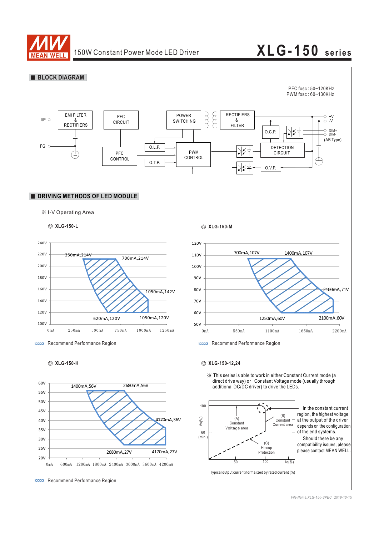

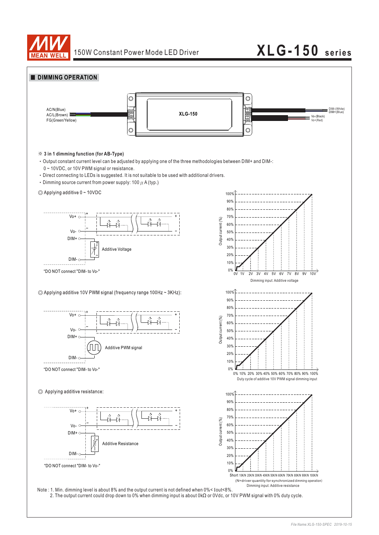



2. The output current could drop down to 0% when dimming input is about 0kΩ or 0Vdc, or 10V PWM signal with 0% duty cycle.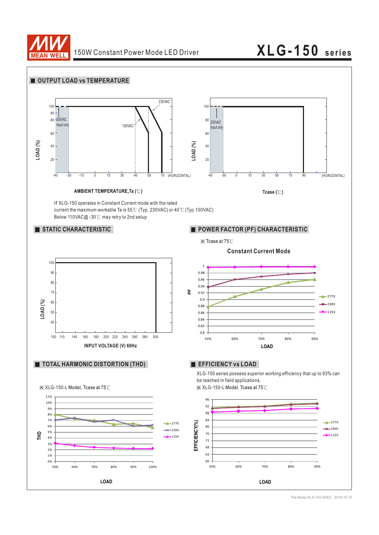

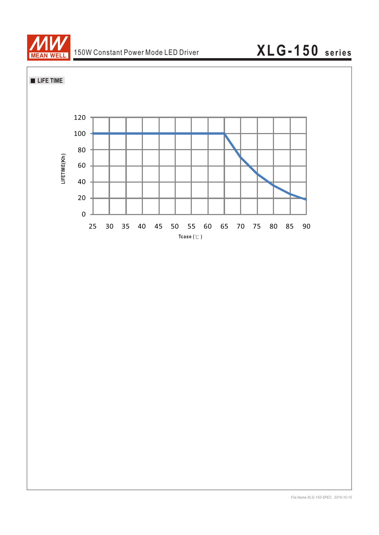

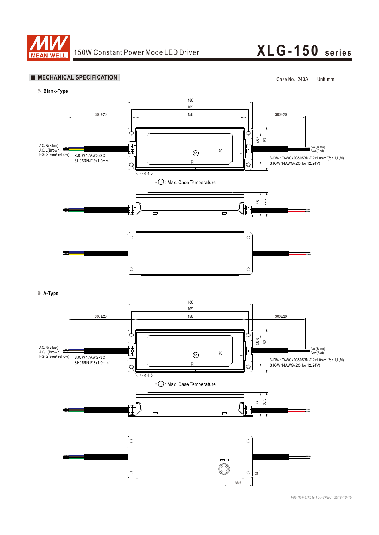